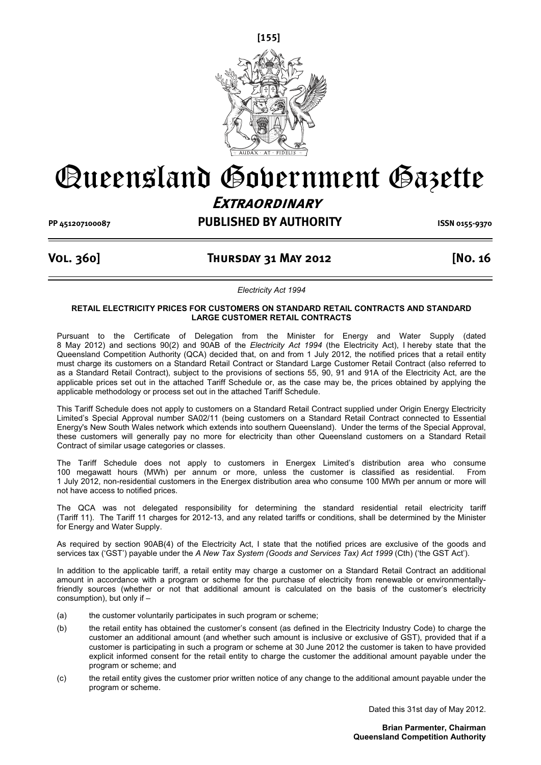

# Queensland Government Gazette

# **Extraordinary**

**PP 451207100087 PUBLISHED BY AUTHORITY ISSN 0155-9370**

## **Vol. 360] Thursday 31 May 2012 [No. 16**

*Electricity Act 1994* 

#### **RETAIL ELECTRICITY PRICES FOR CUSTOMERS ON STANDARD RETAIL CONTRACTS AND STANDARD LARGE CUSTOMER RETAIL CONTRACTS**

Pursuant to the Certificate of Delegation from the Minister for Energy and Water Supply (dated 8 May 2012) and sections 90(2) and 90AB of the *Electricity Act 1994* (the Electricity Act), I hereby state that the Queensland Competition Authority (QCA) decided that, on and from 1 July 2012, the notified prices that a retail entity must charge its customers on a Standard Retail Contract or Standard Large Customer Retail Contract (also referred to as a Standard Retail Contract), subject to the provisions of sections 55, 90, 91 and 91A of the Electricity Act, are the applicable prices set out in the attached Tariff Schedule or, as the case may be, the prices obtained by applying the applicable methodology or process set out in the attached Tariff Schedule.

This Tariff Schedule does not apply to customers on a Standard Retail Contract supplied under Origin Energy Electricity Limited's Special Approval number SA02/11 (being customers on a Standard Retail Contract connected to Essential Energy's New South Wales network which extends into southern Queensland). Under the terms of the Special Approval, these customers will generally pay no more for electricity than other Queensland customers on a Standard Retail Contract of similar usage categories or classes.

The Tariff Schedule does not apply to customers in Energex Limited's distribution area who consume 100 megawatt hours (MWh) per annum or more, unless the customer is classified as residential. From 1 July 2012, non-residential customers in the Energex distribution area who consume 100 MWh per annum or more will not have access to notified prices.

The QCA was not delegated responsibility for determining the standard residential retail electricity tariff (Tariff 11). The Tariff 11 charges for 2012-13, and any related tariffs or conditions, shall be determined by the Minister for Energy and Water Supply.

As required by section 90AB(4) of the Electricity Act, I state that the notified prices are exclusive of the goods and services tax ('GST') payable under the *A New Tax System (Goods and Services Tax) Act 1999* (Cth) ('the GST Act').

In addition to the applicable tariff, a retail entity may charge a customer on a Standard Retail Contract an additional amount in accordance with a program or scheme for the purchase of electricity from renewable or environmentallyfriendly sources (whether or not that additional amount is calculated on the basis of the customer's electricity consumption), but only if –

- (a) the customer voluntarily participates in such program or scheme;
- (b) the retail entity has obtained the customer's consent (as defined in the Electricity Industry Code) to charge the customer an additional amount (and whether such amount is inclusive or exclusive of GST), provided that if a customer is participating in such a program or scheme at 30 June 2012 the customer is taken to have provided explicit informed consent for the retail entity to charge the customer the additional amount payable under the program or scheme; and
- (c) the retail entity gives the customer prior written notice of any change to the additional amount payable under the program or scheme.

Dated this 31st day of May 2012.

**Brian Parmenter, Chairman Queensland Competition Authority**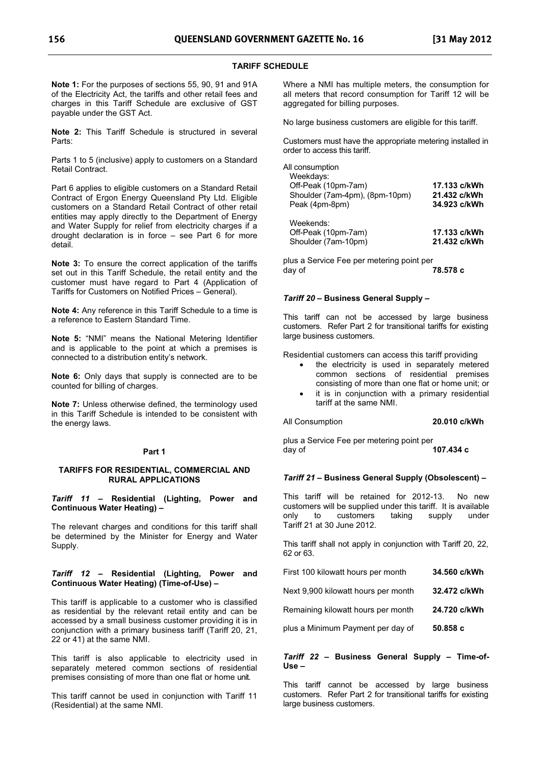## **TARIFF SCHEDULE**

**Note 1:** For the purposes of sections 55, 90, 91 and 91A of the Electricity Act, the tariffs and other retail fees and charges in this Tariff Schedule are exclusive of GST payable under the GST Act.

**Note 2:** This Tariff Schedule is structured in several Parts:

Parts 1 to 5 (inclusive) apply to customers on a Standard Retail Contract.

Part 6 applies to eligible customers on a Standard Retail Contract of Ergon Energy Queensland Pty Ltd. Eligible customers on a Standard Retail Contract of other retail entities may apply directly to the Department of Energy and Water Supply for relief from electricity charges if a drought declaration is in force – see Part 6 for more detail.

**Note 3:** To ensure the correct application of the tariffs set out in this Tariff Schedule, the retail entity and the customer must have regard to Part 4 (Application of Tariffs for Customers on Notified Prices – General).

**Note 4:** Any reference in this Tariff Schedule to a time is a reference to Eastern Standard Time.

**Note 5:** "NMI" means the National Metering Identifier and is applicable to the point at which a premises is connected to a distribution entity's network.

**Note 6:** Only days that supply is connected are to be counted for billing of charges.

**Note 7:** Unless otherwise defined, the terminology used in this Tariff Schedule is intended to be consistent with the energy laws.

#### **Part 1**

#### **TARIFFS FOR RESIDENTIAL, COMMERCIAL AND RURAL APPLICATIONS**

*Tariff 11* **– Residential (Lighting, Power and Continuous Water Heating) –** 

The relevant charges and conditions for this tariff shall be determined by the Minister for Energy and Water Supply.

#### *Tariff 12* **– Residential (Lighting, Power and Continuous Water Heating) (Time-of-Use) –**

This tariff is applicable to a customer who is classified as residential by the relevant retail entity and can be accessed by a small business customer providing it is in conjunction with a primary business tariff (Tariff 20, 21, 22 or 41) at the same NMI.

This tariff is also applicable to electricity used in separately metered common sections of residential premises consisting of more than one flat or home unit.

This tariff cannot be used in conjunction with Tariff 11 (Residential) at the same NMI.

Where a NMI has multiple meters, the consumption for all meters that record consumption for Tariff 12 will be aggregated for billing purposes.

No large business customers are eligible for this tariff.

Customers must have the appropriate metering installed in order to access this tariff.

| All consumption                |              |
|--------------------------------|--------------|
| Weekdays:                      |              |
| Off-Peak (10pm-7am)            | 17.133 c/kWh |
| Shoulder (7am-4pm), (8pm-10pm) | 21.432 c/kWh |
| Peak (4pm-8pm)                 | 34.923 c/kWh |
| Weekends:                      |              |
| Off-Peak (10pm-7am)            | 17.133 c/kWh |
| Shoulder (7am-10pm)            | 21.432 c/kWh |
|                                |              |

plus a Service Fee per metering point per day of **78.578 c** 

#### *Tariff 20* **– Business General Supply –**

This tariff can not be accessed by large business customers. Refer Part 2 for transitional tariffs for existing large business customers.

Residential customers can access this tariff providing

- the electricity is used in separately metered common sections of residential premises consisting of more than one flat or home unit; or -
- it is in conjunction with a primary residential tariff at the same NMI.

All Consumption **20.010 c/kWh** 

plus a Service Fee per metering point per day of **107.434 c** 

#### *Tariff 21* **– Business General Supply (Obsolescent) –**

This tariff will be retained for 2012-13. No new customers will be supplied under this tariff. It is available customers Tariff 21 at 30 June 2012.

This tariff shall not apply in conjunction with Tariff 20, 22, 62 or 63.

| First 100 kilowatt hours per month  | 34.560 c/kWh |
|-------------------------------------|--------------|
| Next 9,900 kilowatt hours per month | 32.472 c/kWh |
| Remaining kilowatt hours per month  | 24.720 c/kWh |
| plus a Minimum Payment per day of   | 50.858c      |

#### *Tariff 22* **– Business General Supply – Time-of-Use –**

This tariff cannot be accessed by large business customers. Refer Part 2 for transitional tariffs for existing large business customers.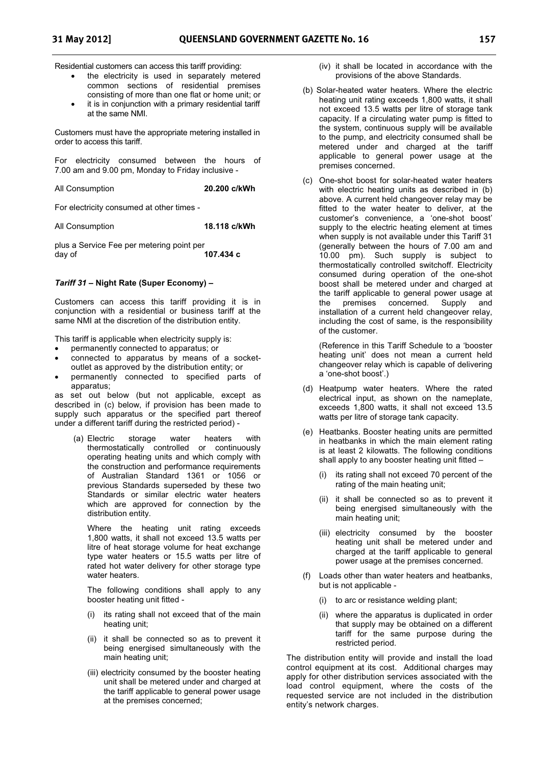Residential customers can access this tariff providing:

- the electricity is used in separately metered common sections of residential premises consisting of more than one flat or home unit; or -
- it is in conjunction with a primary residential tariff at the same NMI.

Customers must have the appropriate metering installed in order to access this tariff.

For electricity consumed between the hours of 7.00 am and 9.00 pm, Monday to Friday inclusive -

All Consumption **20.200 c/kWh**

For electricity consumed at other times -

All Consumption **18.118 c/kWh** 

plus a Service Fee per metering point per day of **107.434 c** 

#### *Tariff 31* **– Night Rate (Super Economy) –**

Customers can access this tariff providing it is in conjunction with a residential or business tariff at the same NMI at the discretion of the distribution entity.

This tariff is applicable when electricity supply is:

- permanently connected to apparatus; or
- connected to apparatus by means of a socketoutlet as approved by the distribution entity; or
- permanently connected to specified parts of apparatus;

as set out below (but not applicable, except as described in (c) below, if provision has been made to supply such apparatus or the specified part thereof under a different tariff during the restricted period) -

 (a) Electric storage water heaters with thermostatically controlled or continuously operating heating units and which comply with the construction and performance requirements of Australian Standard 1361 or 1056 or previous Standards superseded by these two Standards or similar electric water heaters which are approved for connection by the distribution entity.

Where the heating unit rating exceeds 1,800 watts, it shall not exceed 13.5 watts per litre of heat storage volume for heat exchange type water heaters or 15.5 watts per litre of rated hot water delivery for other storage type water heaters.

The following conditions shall apply to any booster heating unit fitted -

- its rating shall not exceed that of the main heating unit;
- (ii) it shall be connected so as to prevent it being energised simultaneously with the main heating unit;
- (iii) electricity consumed by the booster heating unit shall be metered under and charged at the tariff applicable to general power usage at the premises concerned;
- (iv) it shall be located in accordance with the provisions of the above Standards.
- (b) Solar-heated water heaters. Where the electric heating unit rating exceeds 1,800 watts, it shall not exceed 13.5 watts per litre of storage tank capacity. If a circulating water pump is fitted to the system, continuous supply will be available to the pump, and electricity consumed shall be metered under and charged at the tariff applicable to general power usage at the premises concerned.
- (c) One-shot boost for solar-heated water heaters with electric heating units as described in (b) above. A current held changeover relay may be fitted to the water heater to deliver, at the customer's convenience, a 'one-shot boost' supply to the electric heating element at times when supply is not available under this Tariff 31 (generally between the hours of 7.00 am and 10.00 pm). Such supply is subject to thermostatically controlled switchoff. Electricity consumed during operation of the one-shot boost shall be metered under and charged at the tariff applicable to general power usage at the premises concerned. Supply and installation of a current held changeover relay, including the cost of same, is the responsibility of the customer.

(Reference in this Tariff Schedule to a 'booster heating unit' does not mean a current held changeover relay which is capable of delivering a 'one-shot boost'.)

- (d) Heatpump water heaters. Where the rated electrical input, as shown on the nameplate, exceeds 1,800 watts, it shall not exceed 13.5 watts per litre of storage tank capacity.
- (e) Heatbanks. Booster heating units are permitted in heatbanks in which the main element rating is at least 2 kilowatts. The following conditions shall apply to any booster heating unit fitted –
	- (i) its rating shall not exceed 70 percent of the rating of the main heating unit;
	- (ii) it shall be connected so as to prevent it being energised simultaneously with the main heating unit;
	- (iii) electricity consumed by the booster heating unit shall be metered under and charged at the tariff applicable to general power usage at the premises concerned.
- (f) Loads other than water heaters and heatbanks, but is not applicable -
	- (i) to arc or resistance welding plant;
	- (ii) where the apparatus is duplicated in order that supply may be obtained on a different tariff for the same purpose during the restricted period.

The distribution entity will provide and install the load control equipment at its cost. Additional charges may apply for other distribution services associated with the load control equipment, where the costs of the requested service are not included in the distribution entity's network charges.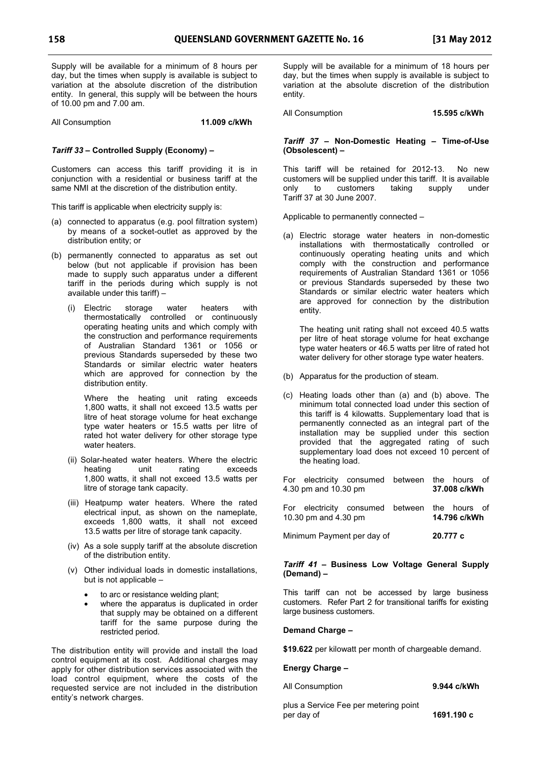Supply will be available for a minimum of 8 hours per day, but the times when supply is available is subject to variation at the absolute discretion of the distribution entity. In general, this supply will be between the hours of 10.00 pm and 7.00 am.

All Consumption **11.009 c/kWh** 

#### *Tariff 33* **– Controlled Supply (Economy) –**

Customers can access this tariff providing it is in conjunction with a residential or business tariff at the same NMI at the discretion of the distribution entity.

This tariff is applicable when electricity supply is:

- (a) connected to apparatus (e.g. pool filtration system) by means of a socket-outlet as approved by the distribution entity; or
- (b) permanently connected to apparatus as set out below (but not applicable if provision has been made to supply such apparatus under a different tariff in the periods during which supply is not available under this tariff) –
	- (i) Electric storage water heaters with thermostatically controlled or continuously operating heating units and which comply with the construction and performance requirements of Australian Standard 1361 or 1056 or previous Standards superseded by these two Standards or similar electric water heaters which are approved for connection by the distribution entity.

Where the heating unit rating exceeds 1,800 watts, it shall not exceed 13.5 watts per litre of heat storage volume for heat exchange type water heaters or 15.5 watts per litre of rated hot water delivery for other storage type water heaters.

- (ii) Solar-heated water heaters. Where the electric heating unit rating exceeds 1,800 watts, it shall not exceed 13.5 watts per litre of storage tank capacity.
- (iii) Heatpump water heaters. Where the rated electrical input, as shown on the nameplate, exceeds 1,800 watts, it shall not exceed 13.5 watts per litre of storage tank capacity.
- (iv) As a sole supply tariff at the absolute discretion of the distribution entity.
- (v) Other individual loads in domestic installations, but is not applicable –
	- to arc or resistance welding plant;
	- where the apparatus is duplicated in order that supply may be obtained on a different tariff for the same purpose during the restricted period.

The distribution entity will provide and install the load control equipment at its cost. Additional charges may apply for other distribution services associated with the load control equipment, where the costs of the requested service are not included in the distribution entity's network charges.

Supply will be available for a minimum of 18 hours per day, but the times when supply is available is subject to variation at the absolute discretion of the distribution entity.

All Consumption **15.595 c/kWh** 

#### *Tariff 37* **– Non-Domestic Heating – Time-of-Use (Obsolescent) –**

This tariff will be retained for 2012-13. No new customers will be supplied under this tariff. It is available<br>only to customers taking supply under only to customers taking supply under Tariff 37 at 30 June 2007.

Applicable to permanently connected –

(a) Electric storage water heaters in non-domestic installations with thermostatically controlled or continuously operating heating units and which comply with the construction and performance requirements of Australian Standard 1361 or 1056 or previous Standards superseded by these two Standards or similar electric water heaters which are approved for connection by the distribution entity.

The heating unit rating shall not exceed 40.5 watts per litre of heat storage volume for heat exchange type water heaters or 46.5 watts per litre of rated hot water delivery for other storage type water heaters.

- (b) Apparatus for the production of steam.
- (c) Heating loads other than (a) and (b) above. The minimum total connected load under this section of this tariff is 4 kilowatts. Supplementary load that is permanently connected as an integral part of the installation may be supplied under this section provided that the aggregated rating of such supplementary load does not exceed 10 percent of the heating load.

| 4.30 pm and 10.30 pm | For electricity consumed between the hours of |  | 37.008 c/kWh |  |
|----------------------|-----------------------------------------------|--|--------------|--|
| 10.30 pm and 4.30 pm | For electricity consumed between the hours of |  | 14.796 c/kWh |  |
|                      | Minimum Payment per day of                    |  | 20.777 c     |  |

#### *Tariff 41* **– Business Low Voltage General Supply (Demand) –**

This tariff can not be accessed by large business customers. Refer Part 2 for transitional tariffs for existing large business customers.

#### **Demand Charge –**

**\$19.622** per kilowatt per month of chargeable demand.

#### **Energy Charge –**

All Consumption **9.944 c/kWh** 

plus a Service Fee per metering point per day of **1691.190 c**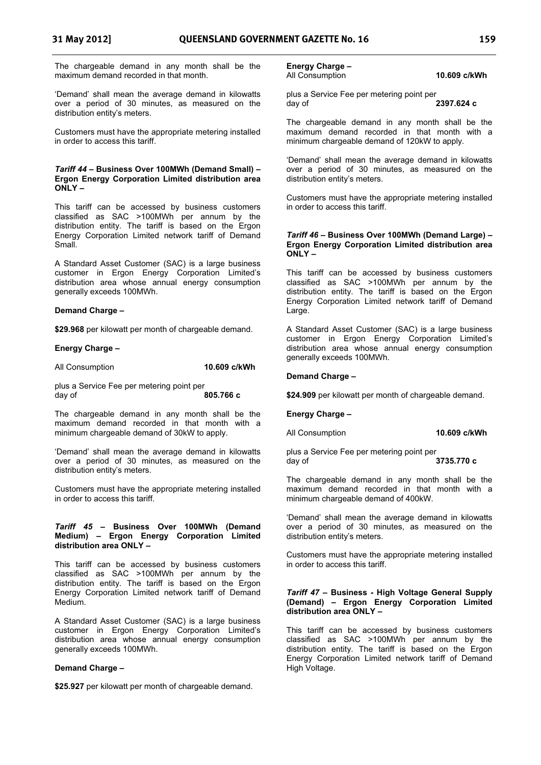The chargeable demand in any month shall be the maximum demand recorded in that month.

'Demand' shall mean the average demand in kilowatts over a period of 30 minutes, as measured on the distribution entity's meters.

Customers must have the appropriate metering installed in order to access this tariff.

#### *Tariff 44 –* **Business Over 100MWh (Demand Small) – Ergon Energy Corporation Limited distribution area ONLY –**

This tariff can be accessed by business customers classified as SAC >100MWh per annum by the distribution entity. The tariff is based on the Ergon Energy Corporation Limited network tariff of Demand Small.

A Standard Asset Customer (SAC) is a large business customer in Ergon Energy Corporation Limited's distribution area whose annual energy consumption generally exceeds 100MWh.

#### **Demand Charge –**

**\$29.968** per kilowatt per month of chargeable demand.

#### **Energy Charge –**

All Consumption **10.609 c/kWh** 

plus a Service Fee per metering point per<br>day of day of **805.766 c** 

The chargeable demand in any month shall be the maximum demand recorded in that month with a minimum chargeable demand of 30kW to apply.

'Demand' shall mean the average demand in kilowatts over a period of 30 minutes, as measured on the distribution entity's meters.

Customers must have the appropriate metering installed in order to access this tariff.

# *Tariff 45 –* **Business Over 100MWh (Demand Medium) – Ergon Energy Corporation Limited distribution area ONLY –**

This tariff can be accessed by business customers classified as SAC >100MWh per annum by the distribution entity. The tariff is based on the Ergon Energy Corporation Limited network tariff of Demand Medium.

A Standard Asset Customer (SAC) is a large business customer in Ergon Energy Corporation Limited's distribution area whose annual energy consumption generally exceeds 100MWh.

#### **Demand Charge –**

\$25.927 per kilowatt per month of chargeable demand.

# **Energy Charge –**

#### All Consumption **10.609 c/kWh**

plus a Service Fee per metering point per day of **2397.624 c** 

The chargeable demand in any month shall be the maximum demand recorded in that month with a minimum chargeable demand of 120kW to apply.

'Demand' shall mean the average demand in kilowatts over a period of 30 minutes, as measured on the distribution entity's meters.

Customers must have the appropriate metering installed in order to access this tariff.

#### *Tariff 46 –* **Business Over 100MWh (Demand Large) – Ergon Energy Corporation Limited distribution area ONLY –**

This tariff can be accessed by business customers classified as SAC >100MWh per annum by the distribution entity. The tariff is based on the Ergon Energy Corporation Limited network tariff of Demand Large.

A Standard Asset Customer (SAC) is a large business customer in Ergon Energy Corporation Limited's distribution area whose annual energy consumption generally exceeds 100MWh.

#### **Demand Charge –**

**\$24.909** per kilowatt per month of chargeable demand.

**Energy Charge –** 

All Consumption **10.609 c/kWh** 

plus a Service Fee per metering point per day of **3735.770 c** 

The chargeable demand in any month shall be the maximum demand recorded in that month with a minimum chargeable demand of 400kW.

'Demand' shall mean the average demand in kilowatts over a period of 30 minutes, as measured on the distribution entity's meters.

Customers must have the appropriate metering installed in order to access this tariff.

## *Tariff 47* **– Business - High Voltage General Supply (Demand) – Ergon Energy Corporation Limited distribution area ONLY –**

This tariff can be accessed by business customers classified as SAC >100MWh per annum by the distribution entity. The tariff is based on the Ergon Energy Corporation Limited network tariff of Demand High Voltage.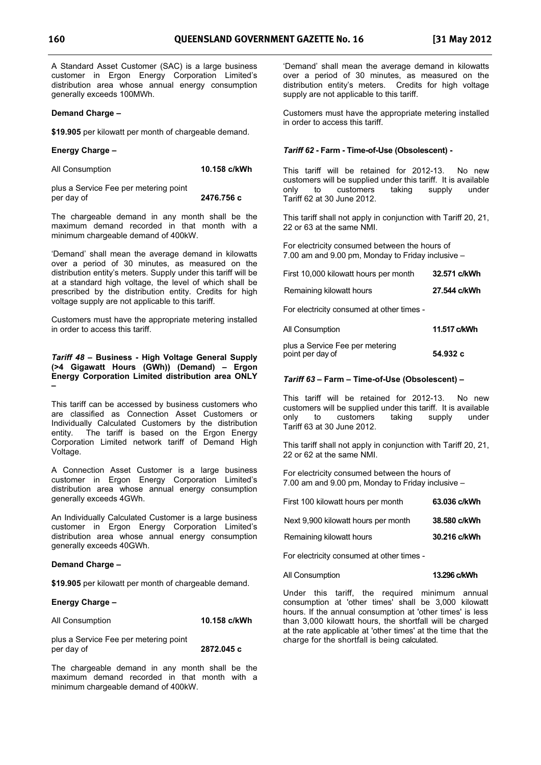A Standard Asset Customer (SAC) is a large business customer in Ergon Energy Corporation Limited's distribution area whose annual energy consumption generally exceeds 100MWh.

#### **Demand Charge –**

**\$19.905** per kilowatt per month of chargeable demand.

#### **Energy Charge –**

| All Consumption | 10.158 c/kWh |
|-----------------|--------------|
|-----------------|--------------|

plus a Service Fee per metering point per day of **2476.756 c** 

The chargeable demand in any month shall be the maximum demand recorded in that month with a minimum chargeable demand of 400kW.

'Demand' shall mean the average demand in kilowatts over a period of 30 minutes, as measured on the distribution entity's meters. Supply under this tariff will be at a standard high voltage, the level of which shall be prescribed by the distribution entity. Credits for high voltage supply are not applicable to this tariff.

Customers must have the appropriate metering installed in order to access this tariff.

#### *Tariff 48* **– Business - High Voltage General Supply (>4 Gigawatt Hours (GWh)) (Demand) – Ergon Energy Corporation Limited distribution area ONLY –**

This tariff can be accessed by business customers who are classified as Connection Asset Customers or Individually Calculated Customers by the distribution entity. The tariff is based on the Ergon Energy Corporation Limited network tariff of Demand High Voltage.

A Connection Asset Customer is a large business customer in Ergon Energy Corporation Limited's distribution area whose annual energy consumption generally exceeds 4GWh.

An Individually Calculated Customer is a large business customer in Ergon Energy Corporation Limited's distribution area whose annual energy consumption generally exceeds 40GWh.

#### **Demand Charge –**

**\$19.905** per kilowatt per month of chargeable demand.

#### **Energy Charge –**

| All Consumption | 10.158 c/kWh |
|-----------------|--------------|
|                 |              |

plus a Service Fee per metering point per day of **2872.045 c** 

The chargeable demand in any month shall be the maximum demand recorded in that month with a minimum chargeable demand of 400kW.

'Demand' shall mean the average demand in kilowatts over a period of 30 minutes, as measured on the distribution entity's meters. Credits for high voltage supply are not applicable to this tariff.

Customers must have the appropriate metering installed in order to access this tariff.

#### *Tariff 62* **- Farm - Time-of-Use (Obsolescent) -**

This tariff will be retained for 2012-13. No new customers will be supplied under this tariff. It is available<br>only to customers taking supply under to customers taking supply under Tariff 62 at 30 June 2012.

This tariff shall not apply in conjunction with Tariff 20, 21, 22 or 63 at the same NMI.

For electricity consumed between the hours of 7.00 am and 9.00 pm, Monday to Friday inclusive –

| First 10,000 kilowatt hours per month     | 32.571 c/kWh |
|-------------------------------------------|--------------|
| Remaining kilowatt hours                  | 27.544 c/kWh |
| For electricity consumed at other times - |              |
| All Consumption                           | 11 517 c/kWh |

| All Consumption                 | 11.517 C/KVVI |
|---------------------------------|---------------|
| plus a Service Fee per metering |               |

point per day of **54.932 c** 

#### *Tariff 63* **– Farm – Time-of-Use (Obsolescent) –**

This tariff will be retained for 2012-13. No new customers will be supplied under this tariff. It is available only to customers taking supply under Tariff 63 at 30 June 2012.

This tariff shall not apply in conjunction with Tariff 20, 21, 22 or 62 at the same NMI.

For electricity consumed between the hours of 7.00 am and 9.00 pm, Monday to Friday inclusive –

| First 100 kilowatt hours per month  | 63.036 c/kWh |
|-------------------------------------|--------------|
| Next 9,900 kilowatt hours per month | 38,580 c/kWh |
| Remaining kilowatt hours            | 30.216 c/kWh |

For electricity consumed at other times -

#### All Consumption **13.296 c/kWh**

Under this tariff, the required minimum annual consumption at 'other times' shall be 3,000 kilowatt hours. If the annual consumption at 'other times' is less than 3,000 kilowatt hours, the shortfall will be charged at the rate applicable at 'other times' at the time that the charge for the shortfall is being calculated.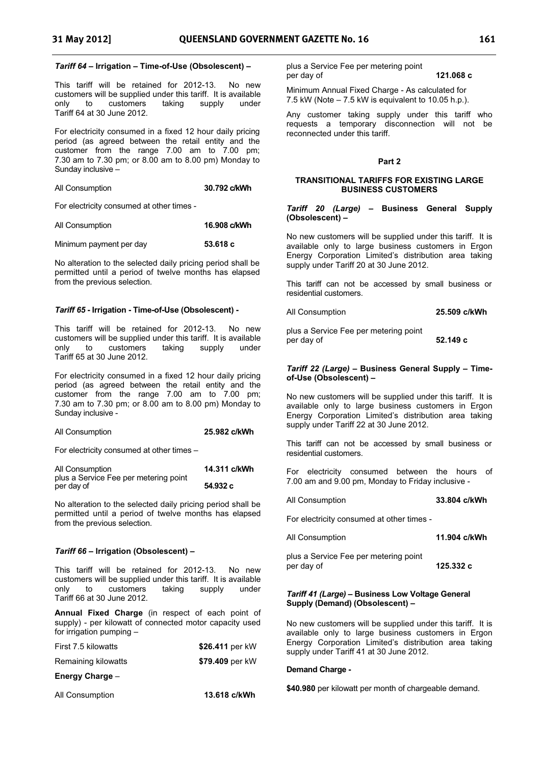#### *Tariff 64* **– Irrigation – Time-of-Use (Obsolescent) –**

This tariff will be retained for 2012-13. No new customers will be supplied under this tariff. It is available only to customers taking supply Tariff 64 at 30 June 2012.

For electricity consumed in a fixed 12 hour daily pricing period (as agreed between the retail entity and the customer from the range 7.00 am to 7.00 pm; 7.30 am to 7.30 pm; or 8.00 am to 8.00 pm) Monday to Sunday inclusive –

| All Consumption | 30.792 c/kWh |
|-----------------|--------------|
|-----------------|--------------|

For electricity consumed at other times -

| All Consumption | 16.908 c/kWh |
|-----------------|--------------|
|-----------------|--------------|

Minimum payment per day **53.618 c**

No alteration to the selected daily pricing period shall be permitted until a period of twelve months has elapsed from the previous selection.

#### *Tariff 65* **- Irrigation - Time-of-Use (Obsolescent) -**

This tariff will be retained for 2012-13. No new customers will be supplied under this tariff. It is available only to customers taking supply Tariff 65 at 30 June 2012.

For electricity consumed in a fixed 12 hour daily pricing period (as agreed between the retail entity and the customer from the range 7.00 am to 7.00 pm; 7.30 am to 7.30 pm; or 8.00 am to 8.00 pm) Monday to Sunday inclusive -

| All Consumption | 25.982 c/kWh |
|-----------------|--------------|
|                 |              |

For electricity consumed at other times –

| All Consumption                       | 14.311 c/kWh |
|---------------------------------------|--------------|
| plus a Service Fee per metering point |              |
| per day of                            | 54.932 c     |

No alteration to the selected daily pricing period shall be permitted until a period of twelve months has elapsed from the previous selection.

## *Tariff 66* **– Irrigation (Obsolescent) –**

This tariff will be retained for 2012-13. No new customers will be supplied under this tariff. It is available only to customers taking supply under Tariff 66 at 30 June 2012.

**Annual Fixed Charge** (in respect of each point of supply) - per kilowatt of connected motor capacity used for irrigation pumping –

| First 7.5 kilowatts | \$26.411 per kW |  |
|---------------------|-----------------|--|
| Remaining kilowatts | \$79.409 per kW |  |
| Energy Charge -     |                 |  |
| All Consumption     | 13.618 c/kWh    |  |

plus a Service Fee per metering point per day of **121.068 c** 

Minimum Annual Fixed Charge - As calculated for 7.5 kW (Note  $-7.5$  kW is equivalent to 10.05 h.p.).

Any customer taking supply under this tariff who requests a temporary disconnection will not be reconnected under this tariff.

#### **Part 2**

#### **TRANSITIONAL TARIFFS FOR EXISTING LARGE BUSINESS CUSTOMERS**

*Tariff 20 (Large)* **– Business General Supply (Obsolescent) –** 

No new customers will be supplied under this tariff. It is available only to large business customers in Ergon Energy Corporation Limited's distribution area taking supply under Tariff 20 at 30 June 2012.

This tariff can not be accessed by small business or residential customers.

All Consumption **25.509 c/kWh** 

plus a Service Fee per metering point per day of **52.149 c** 

#### *Tariff 22 (Large)* **– Business General Supply – Timeof-Use (Obsolescent) –**

No new customers will be supplied under this tariff. It is available only to large business customers in Ergon Energy Corporation Limited's distribution area taking supply under Tariff 22 at 30 June 2012.

This tariff can not be accessed by small business or residential customers.

For electricity consumed between the hours of 7.00 am and 9.00 pm, Monday to Friday inclusive -

For electricity consumed at other times -

| All Consumption | 11.904 c/kWh |
|-----------------|--------------|
|-----------------|--------------|

All Consumption **33.804 c/kWh**

plus a Service Fee per metering point per day of **125.332 c** 

#### *Tariff 41 (Large) –* **Business Low Voltage General Supply (Demand) (Obsolescent) –**

No new customers will be supplied under this tariff. It is available only to large business customers in Ergon Energy Corporation Limited's distribution area taking supply under Tariff 41 at 30 June 2012.

#### **Demand Charge -**

**\$40.980** per kilowatt per month of chargeable demand.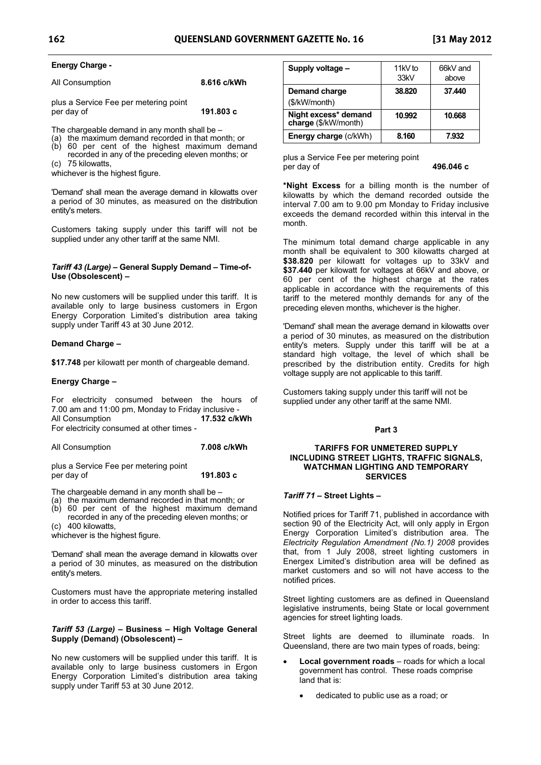All Consumption **8.616 c/kWh** 

plus a Service Fee per metering point per day of **191.803 c** 

The chargeable demand in any month shall be –

- (a) the maximum demand recorded in that month; or
- (b) 60 per cent of the highest maximum demand recorded in any of the preceding eleven months; or
- (c) 75 kilowatts,

whichever is the highest figure.

'Demand' shall mean the average demand in kilowatts over a period of 30 minutes, as measured on the distribution entity's meters.

Customers taking supply under this tariff will not be supplied under any other tariff at the same NMI.

#### *Tariff 43 (Large) –* **General Supply Demand – Time-of-Use (Obsolescent) –**

No new customers will be supplied under this tariff. It is available only to large business customers in Ergon Energy Corporation Limited's distribution area taking supply under Tariff 43 at 30 June 2012.

#### **Demand Charge –**

**\$17.748** per kilowatt per month of chargeable demand.

#### **Energy Charge –**

For electricity consumed between the hours of 7.00 am and 11:00 pm, Monday to Friday inclusive - All Consumption **17.532 c/kWh** For electricity consumed at other times -

All Consumption **7.008 c/kWh** 

plus a Service Fee per metering point per day of **191.803 c** 

The chargeable demand in any month shall be –

- (a) the maximum demand recorded in that month; or
- (b) 60 per cent of the highest maximum demand recorded in any of the preceding eleven months; or (c) 400 kilowatts,

whichever is the highest figure.

'Demand' shall mean the average demand in kilowatts over a period of 30 minutes, as measured on the distribution entity's meters.

Customers must have the appropriate metering installed in order to access this tariff.

#### *Tariff 53 (Large)* **– Business – High Voltage General Supply (Demand) (Obsolescent) –**

No new customers will be supplied under this tariff. It is available only to large business customers in Ergon Energy Corporation Limited's distribution area taking supply under Tariff 53 at 30 June 2012.

| Supply voltage -                             | 11kV to<br>33 <sub>kV</sub> | 66kV and<br>above |
|----------------------------------------------|-----------------------------|-------------------|
| Demand charge<br>(\$/kW/month)               | 38.820                      | 37.440            |
| Night excess* demand<br>charge (\$/kW/month) | 10.992                      | 10.668            |
| <b>Energy charge (c/kWh)</b>                 | 8.160                       | 7.932             |

plus a Service Fee per metering point per day of **496.046 c** 

**\*Night Excess** for a billing month is the number of kilowatts by which the demand recorded outside the interval 7.00 am to 9.00 pm Monday to Friday inclusive exceeds the demand recorded within this interval in the month.

The minimum total demand charge applicable in any month shall be equivalent to 300 kilowatts charged at \$38.820 per kilowatt for voltages up to 33kV and **\$37.440** per kilowatt for voltages at 66kV and above, or 60 per cent of the highest charge at the rates applicable in accordance with the requirements of this tariff to the metered monthly demands for any of the preceding eleven months, whichever is the higher.

'Demand' shall mean the average demand in kilowatts over a period of 30 minutes, as measured on the distribution entity's meters. Supply under this tariff will be at a standard high voltage, the level of which shall be prescribed by the distribution entity. Credits for high voltage supply are not applicable to this tariff.

Customers taking supply under this tariff will not be supplied under any other tariff at the same NMI.

#### **Part 3**

#### **TARIFFS FOR UNMETERED SUPPLY INCLUDING STREET LIGHTS, TRAFFIC SIGNALS, WATCHMAN LIGHTING AND TEMPORARY SERVICES**

#### *Tariff 71 –* **Street Lights –**

Notified prices for Tariff 71, published in accordance with section 90 of the Electricity Act, will only apply in Ergon Energy Corporation Limited's distribution area. The *Electricity Regulation Amendment (No.1) 2008* provides that, from 1 July 2008, street lighting customers in Energex Limited's distribution area will be defined as market customers and so will not have access to the notified prices.

Street lighting customers are as defined in Queensland legislative instruments, being State or local government agencies for street lighting loads.

Street lights are deemed to illuminate roads. In Queensland, there are two main types of roads, being:

- - **Local government roads** – roads for which a local government has control. These roads comprise land that is:
	- dedicated to public use as a road; or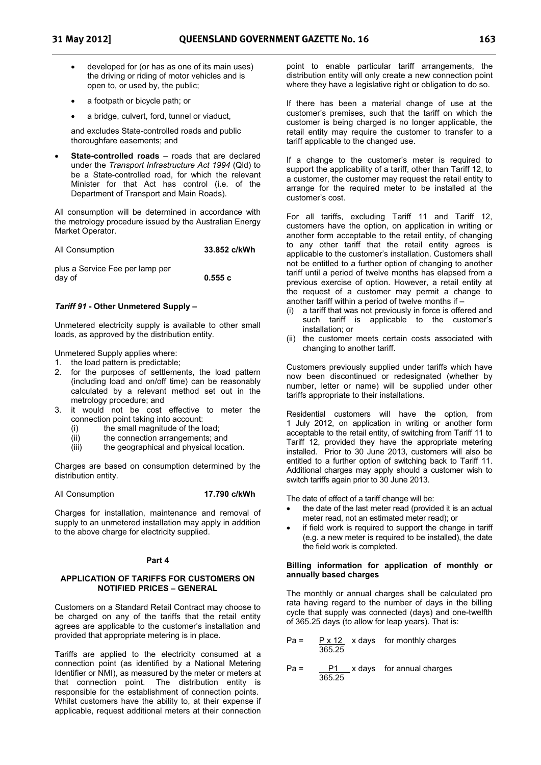- developed for (or has as one of its main uses) the driving or riding of motor vehicles and is open to, or used by, the public;
- a footpath or bicycle path; or
- a bridge, culvert, ford, tunnel or viaduct,

and excludes State-controlled roads and public thoroughfare easements; and

- **State-controlled roads** – roads that are declared under the *Transport Infrastructure Act 1994* (Qld) to be a State-controlled road, for which the relevant Minister for that Act has control (i.e. of the Department of Transport and Main Roads).

All consumption will be determined in accordance with the metrology procedure issued by the Australian Energy Market Operator.

| All Consumption                           | 33.852 c/kWh |
|-------------------------------------------|--------------|
| plus a Service Fee per lamp per<br>day of | 0.555c       |

#### *Tariff 91* **- Other Unmetered Supply –**

Unmetered electricity supply is available to other small loads, as approved by the distribution entity.

Unmetered Supply applies where:

- 1. the load pattern is predictable;
- for the purposes of settlements, the load pattern (including load and on/off time) can be reasonably calculated by a relevant method set out in the metrology procedure; and
- 3. it would not be cost effective to meter the connection point taking into account:
	- (i) the small magnitude of the load;
	- (ii) the connection arrangements; and
	- (iii) the geographical and physical location.

Charges are based on consumption determined by the distribution entity.

All Consumption **17.790 c/kWh**

Charges for installation, maintenance and removal of supply to an unmetered installation may apply in addition to the above charge for electricity supplied.

#### **Part 4**

#### **APPLICATION OF TARIFFS FOR CUSTOMERS ON NOTIFIED PRICES – GENERAL**

Customers on a Standard Retail Contract may choose to be charged on any of the tariffs that the retail entity agrees are applicable to the customer's installation and provided that appropriate metering is in place.

Tariffs are applied to the electricity consumed at a connection point (as identified by a National Metering Identifier or NMI), as measured by the meter or meters at that connection point. The distribution entity is responsible for the establishment of connection points. Whilst customers have the ability to, at their expense if applicable, request additional meters at their connection

point to enable particular tariff arrangements, the distribution entity will only create a new connection point where they have a legislative right or obligation to do so.

If there has been a material change of use at the customer's premises, such that the tariff on which the customer is being charged is no longer applicable, the retail entity may require the customer to transfer to a tariff applicable to the changed use.

If a change to the customer's meter is required to support the applicability of a tariff, other than Tariff 12, to a customer, the customer may request the retail entity to arrange for the required meter to be installed at the customer's cost.

For all tariffs, excluding Tariff 11 and Tariff 12, customers have the option, on application in writing or another form acceptable to the retail entity, of changing to any other tariff that the retail entity agrees is applicable to the customer's installation. Customers shall not be entitled to a further option of changing to another tariff until a period of twelve months has elapsed from a previous exercise of option. However, a retail entity at the request of a customer may permit a change to another tariff within a period of twelve months if –

- a tariff that was not previously in force is offered and such tariff is applicable to the customer's installation; or
- (ii) the customer meets certain costs associated with changing to another tariff.

Customers previously supplied under tariffs which have now been discontinued or redesignated (whether by number, letter or name) will be supplied under other tariffs appropriate to their installations.

Residential customers will have the option, from 1 July 2012, on application in writing or another form acceptable to the retail entity, of switching from Tariff 11 to Tariff 12, provided they have the appropriate metering installed. Prior to 30 June 2013, customers will also be entitled to a further option of switching back to Tariff 11. Additional charges may apply should a customer wish to switch tariffs again prior to 30 June 2013.

The date of effect of a tariff change will be:

- the date of the last meter read (provided it is an actual meter read, not an estimated meter read); or
- if field work is required to support the change in tariff (e.g. a new meter is required to be installed), the date the field work is completed.

#### **Billing information for application of monthly or annually based charges**

The monthly or annual charges shall be calculated pro rata having regard to the number of days in the billing cycle that supply was connected (days) and one-twelfth of 365.25 days (to allow for leap years). That is:

- $Pa = P \times 12$  x days for monthly charges 365.25
- $Pa = \underline{P1} \times days$  for annual charges 365.25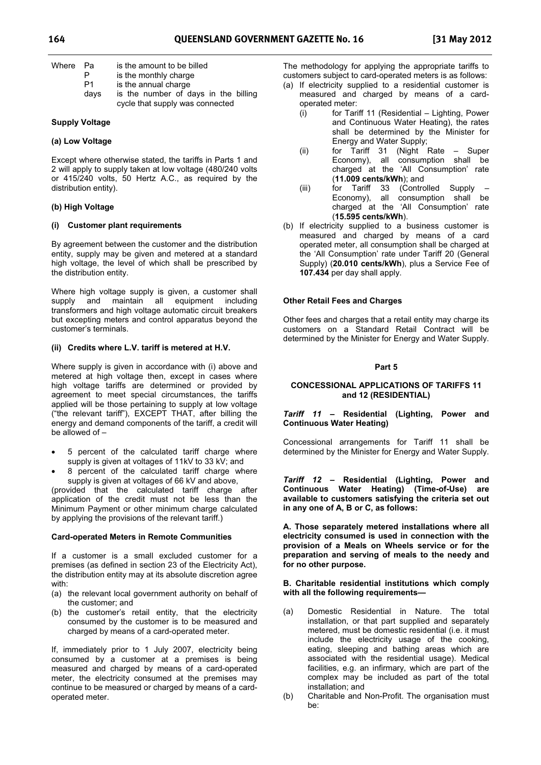| Where | - Pa | is the amount to be billed           |
|-------|------|--------------------------------------|
|       | P    | is the monthly charge                |
|       | P1   | is the annual charge                 |
|       | davs | is the number of days in the billing |
|       |      | cycle that supply was connected      |

#### **Supply Voltage**

#### **(a) Low Voltage**

Except where otherwise stated, the tariffs in Parts 1 and 2 will apply to supply taken at low voltage (480/240 volts or 415/240 volts, 50 Hertz A.C., as required by the distribution entity).

#### **(b) High Voltage**

#### **(i) Customer plant requirements**

By agreement between the customer and the distribution entity, supply may be given and metered at a standard high voltage, the level of which shall be prescribed by the distribution entity.

Where high voltage supply is given, a customer shall supply and maintain all equipment including transformers and high voltage automatic circuit breakers but excepting meters and control apparatus beyond the customer's terminals.

#### **(ii) Credits where L.V. tariff is metered at H.V.**

Where supply is given in accordance with (i) above and metered at high voltage then, except in cases where high voltage tariffs are determined or provided by agreement to meet special circumstances, the tariffs applied will be those pertaining to supply at low voltage ("the relevant tariff"), EXCEPT THAT, after billing the energy and demand components of the tariff, a credit will be allowed of –

- - 5 percent of the calculated tariff charge where supply is given at voltages of 11kV to 33 kV; and
- - 8 percent of the calculated tariff charge where supply is given at voltages of 66 kV and above,

(provided that the calculated tariff charge after application of the credit must not be less than the Minimum Payment or other minimum charge calculated by applying the provisions of the relevant tariff.)

#### **Card-operated Meters in Remote Communities**

If a customer is a small excluded customer for a premises (as defined in section 23 of the Electricity Act), the distribution entity may at its absolute discretion agree with:

- (a) the relevant local government authority on behalf of the customer; and
- (b) the customer's retail entity, that the electricity consumed by the customer is to be measured and charged by means of a card-operated meter.

If, immediately prior to 1 July 2007, electricity being consumed by a customer at a premises is being measured and charged by means of a card-operated meter, the electricity consumed at the premises may continue to be measured or charged by means of a cardoperated meter.

The methodology for applying the appropriate tariffs to customers subject to card-operated meters is as follows:

- (a) If electricity supplied to a residential customer is measured and charged by means of a cardoperated meter:
	- (i) for Tariff 11 (Residential Lighting, Power and Continuous Water Heating), the rates shall be determined by the Minister for Energy and Water Supply;
	- (ii) for Tariff 31 (Night Rate Super Economy), all consumption shall be charged at the 'All Consumption' rate (**11.009 cents/kWh**); and
	- (iii) for Tariff 33 (Controlled Supply Economy), all consumption shall be charged at the 'All Consumption' rate (**15.595 cents/kWh**).
- (b) If electricity supplied to a business customer is measured and charged by means of a card operated meter, all consumption shall be charged at the 'All Consumption' rate under Tariff 20 (General Supply) (**20.010 cents/kWh**), plus a Service Fee of **107.434** per day shall apply.

#### **Other Retail Fees and Charges**

Other fees and charges that a retail entity may charge its customers on a Standard Retail Contract will be determined by the Minister for Energy and Water Supply.

#### **Part 5**

## **CONCESSIONAL APPLICATIONS OF TARIFFS 11 and 12 (RESIDENTIAL)**

## *Tariff 11* **– Residential (Lighting, Power and Continuous Water Heating)**

Concessional arrangements for Tariff 11 shall be determined by the Minister for Energy and Water Supply.

*Tariff 12* **– Residential (Lighting, Power and Continuous Water Heating) (Time-of-Use) are available to customers satisfying the criteria set out in any one of A, B or C, as follows:** 

**A. Those separately metered installations where all electricity consumed is used in connection with the provision of a Meals on Wheels service or for the preparation and serving of meals to the needy and for no other purpose.** 

#### **B. Charitable residential institutions which comply with all the following requirements—**

- (a) Domestic Residential in Nature. The total installation, or that part supplied and separately metered, must be domestic residential (i.e. it must include the electricity usage of the cooking, eating, sleeping and bathing areas which are associated with the residential usage). Medical facilities, e.g. an infirmary, which are part of the complex may be included as part of the total installation; and
- (b) Charitable and Non-Profit. The organisation must be: